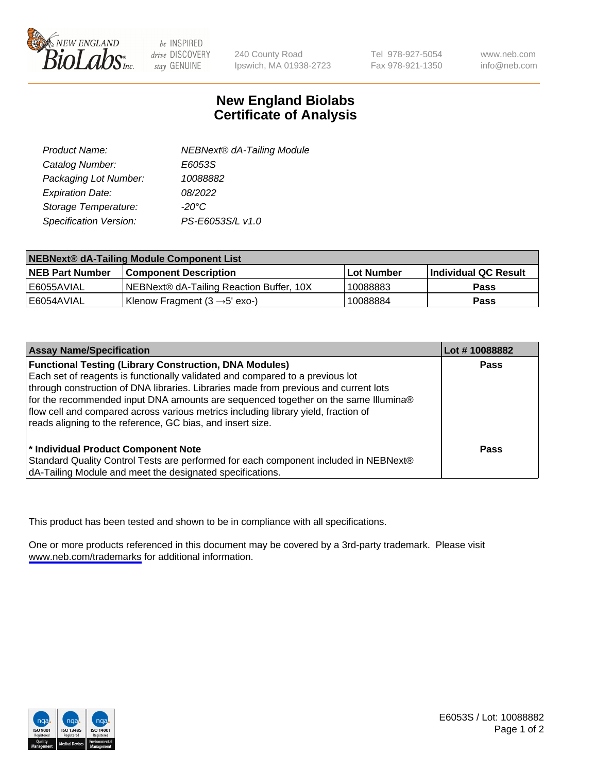

be INSPIRED drive DISCOVERY stay GENUINE

240 County Road Ipswich, MA 01938-2723 Tel 978-927-5054 Fax 978-921-1350

www.neb.com info@neb.com

## **New England Biolabs Certificate of Analysis**

| Product Name:           | <b>NEBNext® dA-Tailing Module</b> |
|-------------------------|-----------------------------------|
| Catalog Number:         | E6053S                            |
| Packaging Lot Number:   | 10088882                          |
| <b>Expiration Date:</b> | 08/2022                           |
| Storage Temperature:    | $-20^{\circ}$ C                   |
| Specification Version:  | PS-E6053S/L v1.0                  |

| NEBNext® dA-Tailing Module Component List |                                           |              |                      |  |
|-------------------------------------------|-------------------------------------------|--------------|----------------------|--|
| <b>NEB Part Number</b>                    | <b>Component Description</b>              | l Lot Number | Individual QC Result |  |
| l E6055AVIAL                              | NEBNext® dA-Tailing Reaction Buffer, 10X  | 10088883     | <b>Pass</b>          |  |
| I E6054AVIAL                              | Klenow Fragment (3 $\rightarrow$ 5' exo-) | 10088884     | <b>Pass</b>          |  |

| <b>Assay Name/Specification</b>                                                      | Lot #10088882 |
|--------------------------------------------------------------------------------------|---------------|
| <b>Functional Testing (Library Construction, DNA Modules)</b>                        | Pass          |
| Each set of reagents is functionally validated and compared to a previous lot        |               |
| through construction of DNA libraries. Libraries made from previous and current lots |               |
| for the recommended input DNA amounts are sequenced together on the same Illumina®   |               |
| flow cell and compared across various metrics including library yield, fraction of   |               |
| reads aligning to the reference, GC bias, and insert size.                           |               |
|                                                                                      |               |
| * Individual Product Component Note                                                  | Pass          |
| Standard Quality Control Tests are performed for each component included in NEBNext® |               |
| dA-Tailing Module and meet the designated specifications.                            |               |

This product has been tested and shown to be in compliance with all specifications.

One or more products referenced in this document may be covered by a 3rd-party trademark. Please visit <www.neb.com/trademarks>for additional information.